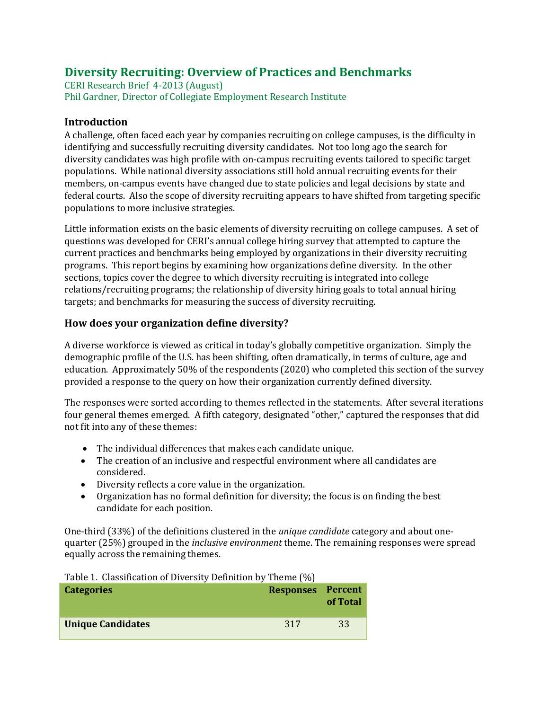# **Diversity Recruiting: Overview of Practices and Benchmarks**

CERI Research Brief 4-2013 (August) Phil Gardner, Director of Collegiate Employment Research Institute

## **Introduction**

A challenge, often faced each year by companies recruiting on college campuses, is the difficulty in identifying and successfully recruiting diversity candidates. Not too long ago the search for diversity candidates was high profile with on-campus recruiting events tailored to specific target populations. While national diversity associations still hold annual recruiting events for their members, on-campus events have changed due to state policies and legal decisions by state and federal courts. Also the scope of diversity recruiting appears to have shifted from targeting specific populations to more inclusive strategies.

Little information exists on the basic elements of diversity recruiting on college campuses. A set of questions was developed for CERI's annual college hiring survey that attempted to capture the current practices and benchmarks being employed by organizations in their diversity recruiting programs. This report begins by examining how organizations define diversity. In the other sections, topics cover the degree to which diversity recruiting is integrated into college relations/recruiting programs; the relationship of diversity hiring goals to total annual hiring targets; and benchmarks for measuring the success of diversity recruiting.

## **How does your organization define diversity?**

A diverse workforce is viewed as critical in today's globally competitive organization. Simply the demographic profile of the U.S. has been shifting, often dramatically, in terms of culture, age and education. Approximately 50% of the respondents (2020) who completed this section of the survey provided a response to the query on how their organization currently defined diversity.

The responses were sorted according to themes reflected in the statements. After several iterations four general themes emerged. A fifth category, designated "other," captured the responses that did not fit into any of these themes:

- The individual differences that makes each candidate unique.
- The creation of an inclusive and respectful environment where all candidates are considered.
- Diversity reflects a core value in the organization.

Table 1. Classification of Diversity Definition by Theme (%)

 Organization has no formal definition for diversity; the focus is on finding the best candidate for each position.

One-third (33%) of the definitions clustered in the *unique candidate* category and about onequarter (25%) grouped in the *inclusive environment* theme. The remaining responses were spread equally across the remaining themes.

| Table 1. Glassification of Diversity Definition by Theme (70) |                   |          |
|---------------------------------------------------------------|-------------------|----------|
| <b>Categories</b>                                             | Responses Percent | of Total |
| <b>Unique Candidates</b>                                      | 317               | 33       |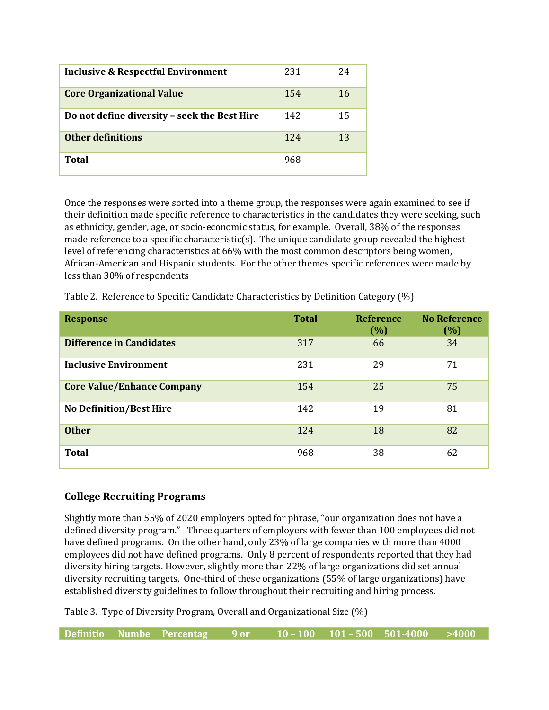| <b>Inclusive &amp; Respectful Environment</b> | 231 | 24 |
|-----------------------------------------------|-----|----|
| <b>Core Organizational Value</b>              | 154 | 16 |
| Do not define diversity - seek the Best Hire  | 142 | 15 |
| <b>Other definitions</b>                      | 124 | 13 |
| Total                                         | 968 |    |

Once the responses were sorted into a theme group, the responses were again examined to see if their definition made specific reference to characteristics in the candidates they were seeking, such as ethnicity, gender, age, or socio-economic status, for example. Overall, 38% of the responses made reference to a specific characteristic(s). The unique candidate group revealed the highest level of referencing characteristics at 66% with the most common descriptors being women, African-American and Hispanic students. For the other themes specific references were made by less than 30% of respondents

| Table 2. Reference to Specific Candidate Characteristics by Definition Category (%) |  |
|-------------------------------------------------------------------------------------|--|
|                                                                                     |  |

| <b>Response</b>                   | <b>Total</b> | <b>Reference</b><br>(%) | <b>No Reference</b><br>(%) |
|-----------------------------------|--------------|-------------------------|----------------------------|
| <b>Difference in Candidates</b>   | 317          | 66                      | 34                         |
| <b>Inclusive Environment</b>      | 231          | 29                      | 71                         |
| <b>Core Value/Enhance Company</b> | 154          | 25                      | 75                         |
| <b>No Definition/Best Hire</b>    | 142          | 19                      | 81                         |
| <b>Other</b>                      | 124          | 18                      | 82                         |
| <b>Total</b>                      | 968          | 38                      | 62                         |

## **College Recruiting Programs**

Slightly more than 55% of 2020 employers opted for phrase, "our organization does not have a defined diversity program." Three quarters of employers with fewer than 100 employees did not have defined programs. On the other hand, only 23% of large companies with more than 4000 employees did not have defined programs. Only 8 percent of respondents reported that they had diversity hiring targets. However, slightly more than 22% of large organizations did set annual diversity recruiting targets. One-third of these organizations (55% of large organizations) have established diversity guidelines to follow throughout their recruiting and hiring process.

Table 3. Type of Diversity Program, Overall and Organizational Size (%)

| $10 - 100$ $101 - 500$ $501 - 4000$ $>4000$<br>Definitio Numbe Percentag 9 or |  |
|-------------------------------------------------------------------------------|--|
|-------------------------------------------------------------------------------|--|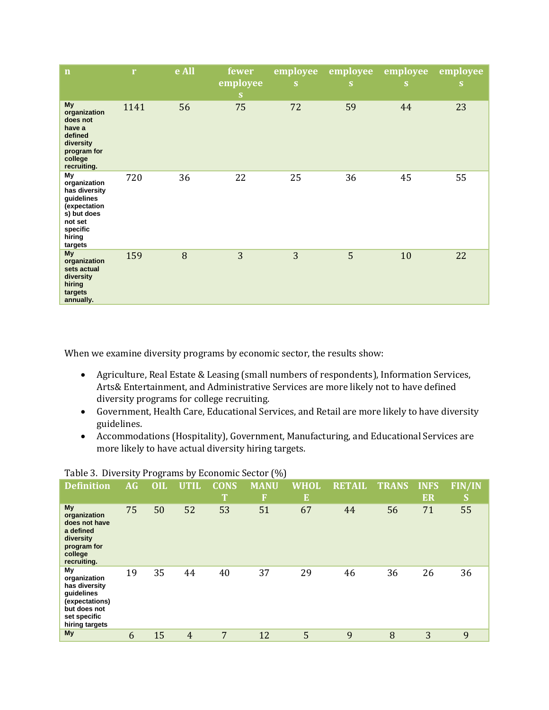| $\mathbf n$                                                                                                                  | $\mathbf{r}$ | e All | fewer<br>employee<br>S. | employee<br>S | employee<br>S | employee<br>S | employee<br>S |
|------------------------------------------------------------------------------------------------------------------------------|--------------|-------|-------------------------|---------------|---------------|---------------|---------------|
| My<br>organization<br>does not<br>have a<br>defined<br>diversity<br>program for<br>college<br>recruiting.                    | 1141         | 56    | 75                      | 72            | 59            | 44            | 23            |
| My<br>organization<br>has diversity<br>guidelines<br>(expectation<br>s) but does<br>not set<br>specific<br>hiring<br>targets | 720          | 36    | 22                      | 25            | 36            | 45            | 55            |
| <b>My</b><br>organization<br>sets actual<br>diversity<br>hiring<br>targets<br>annually.                                      | 159          | 8     | 3                       | 3             | 5             | 10            | 22            |

When we examine diversity programs by economic sector, the results show:

- Agriculture, Real Estate & Leasing (small numbers of respondents), Information Services, Arts& Entertainment, and Administrative Services are more likely not to have defined diversity programs for college recruiting.
- Government, Health Care, Educational Services, and Retail are more likely to have diversity guidelines.
- Accommodations (Hospitality), Government, Manufacturing, and Educational Services are more likely to have actual diversity hiring targets.

| <b>Definition</b>                                                                                                     | <b>AG</b> | <b>OIL</b> | <b>UTIL</b>    | <b>CONS</b><br>П | <b>MANU</b><br>F | WHOL<br>E. | <b>RETAIL</b> | <b>TRANS</b> | <b>INFS</b><br>ER | <b>FIN/IN</b><br>S |
|-----------------------------------------------------------------------------------------------------------------------|-----------|------------|----------------|------------------|------------------|------------|---------------|--------------|-------------------|--------------------|
| My<br>organization<br>does not have<br>a defined<br>diversity<br>program for<br>college<br>recruiting.                | 75        | 50         | 52             | 53               | 51               | 67         | 44            | 56           | 71                | 55                 |
| My<br>organization<br>has diversity<br>quidelines<br>(expectations)<br>but does not<br>set specific<br>hiring targets | 19        | 35         | 44             | 40               | 37               | 29         | 46            | 36           | 26                | 36                 |
| My                                                                                                                    | 6         | 15         | $\overline{4}$ | 7                | 12               | 5          | 9             | 8            | 3                 | 9                  |

#### Table 3. Diversity Programs by Economic Sector (%)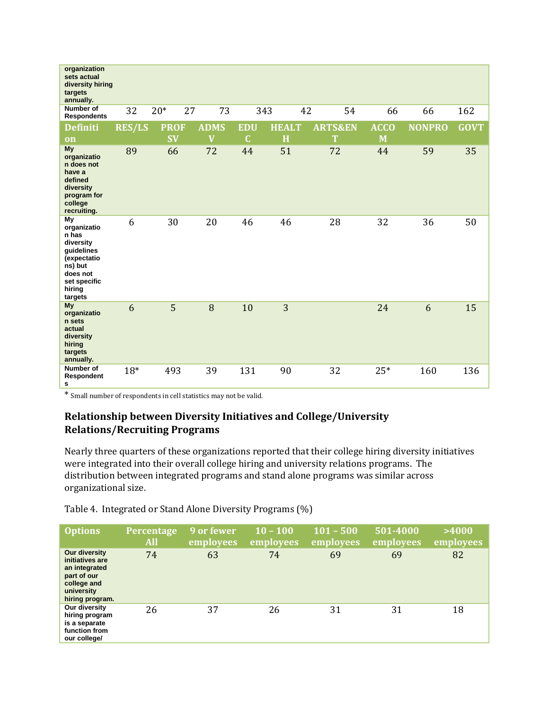| organization<br>sets actual<br>diversity hiring<br>targets<br>annually.                                                          |               |             |                         |                |              |                    |             |               |             |
|----------------------------------------------------------------------------------------------------------------------------------|---------------|-------------|-------------------------|----------------|--------------|--------------------|-------------|---------------|-------------|
| <b>Number of</b><br><b>Respondents</b>                                                                                           | 32            | $20*$<br>27 | 73                      |                | 343<br>42    | 54                 | 66          | 66            | 162         |
| <b>Definiti</b>                                                                                                                  | <b>RES/LS</b> | <b>PROF</b> | <b>ADMS</b>             | <b>EDU</b>     | <b>HEALT</b> | <b>ARTS&amp;EN</b> | <b>ACCO</b> | <b>NONPRO</b> | <b>GOVT</b> |
| <b>on</b>                                                                                                                        |               | <b>SV</b>   | $\overline{\mathbf{V}}$ | $\overline{C}$ | H            | T                  | M           |               |             |
| My<br>organizatio<br>n does not<br>have a<br>defined<br>diversity<br>program for<br>college<br>recruiting.                       | 89            | 66          | 72                      | 44             | 51           | 72                 | 44          | 59            | 35          |
| My<br>organizatio<br>n has<br>diversity<br>quidelines<br>(expectatio<br>ns) but<br>does not<br>set specific<br>hiring<br>targets | 6             | 30          | 20                      | 46             | 46           | 28                 | 32          | 36            | 50          |
| My<br>organizatio<br>n sets<br>actual<br>diversity<br>hiring<br>targets<br>annually.                                             | 6             | 5           | 8                       | 10             | 3            |                    | 24          | 6             | 15          |
| <b>Number of</b><br>Respondent<br>s                                                                                              | $18*$         | 493         | 39                      | 131            | 90           | 32                 | $25*$       | 160           | 136         |

\* Small number of respondents in cell statistics may not be valid.

# **Relationship between Diversity Initiatives and College/University Relations/Recruiting Programs**

Nearly three quarters of these organizations reported that their college hiring diversity initiatives were integrated into their overall college hiring and university relations programs. The distribution between integrated programs and stand alone programs was similar across organizational size.

Table 4. Integrated or Stand Alone Diversity Programs (%)

| <b>Options</b>                                                                                                   | Percentage<br><b>All</b> | 9 or fewer<br>employees | $10 - 100$<br>employees | $101 - 500$<br>employees | 501-4000<br>employees | >4000<br>employees |
|------------------------------------------------------------------------------------------------------------------|--------------------------|-------------------------|-------------------------|--------------------------|-----------------------|--------------------|
| Our diversity<br>initiatives are<br>an integrated<br>part of our<br>college and<br>university<br>hiring program. | 74                       | 63                      | 74                      | 69                       | 69                    | 82                 |
| Our diversity<br>hiring program<br>is a separate<br>function from<br>our college/                                | 26                       | 37                      | 26                      | 31                       | 31                    | 18                 |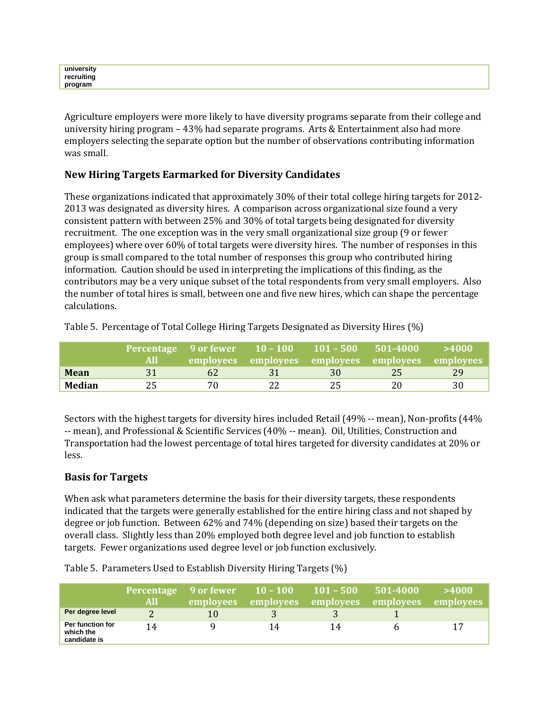Agriculture employers were more likely to have diversity programs separate from their college and university hiring program – 43% had separate programs. Arts & Entertainment also had more employers selecting the separate option but the number of observations contributing information was small.

## **New Hiring Targets Earmarked for Diversity Candidates**

These organizations indicated that approximately 30% of their total college hiring targets for 2012- 2013 was designated as diversity hires. A comparison across organizational size found a very consistent pattern with between 25% and 30% of total targets being designated for diversity recruitment. The one exception was in the very small organizational size group (9 or fewer employees) where over 60% of total targets were diversity hires. The number of responses in this group is small compared to the total number of responses this group who contributed hiring information. Caution should be used in interpreting the implications of this finding, as the contributors may be a very unique subset of the total respondents from very small employers. Also the number of total hires is small, between one and five new hires, which can shape the percentage calculations.

|             | <b>AU</b> |    | employees employees employees employees employees |    |    | >4000 |
|-------------|-----------|----|---------------------------------------------------|----|----|-------|
| <b>Mean</b> | 31        | 62 |                                                   | 30 | 25 | 29.   |
| Median      | 25        | 70 |                                                   | 25 | 20 | 30    |

Table 5. Percentage of Total College Hiring Targets Designated as Diversity Hires (%)

Sectors with the highest targets for diversity hires included Retail (49% -- mean), Non-profits (44% -- mean), and Professional & Scientific Services (40% -- mean). Oil, Utilities, Construction and Transportation had the lowest percentage of total hires targeted for diversity candidates at 20% or less.

## **Basis for Targets**

When ask what parameters determine the basis for their diversity targets, these respondents indicated that the targets were generally established for the entire hiring class and not shaped by degree or job function. Between 62% and 74% (depending on size) based their targets on the overall class. Slightly less than 20% employed both degree level and job function to establish targets. Fewer organizations used degree level or job function exclusively.

|                                               | <b>Percentage</b><br>All | 9 or fewer<br>employees | $10 - 100$<br>employees | $101 - 500$<br>employees | 501-4000<br>employees | >4000<br>employees |
|-----------------------------------------------|--------------------------|-------------------------|-------------------------|--------------------------|-----------------------|--------------------|
| Per degree level                              |                          | 10                      |                         |                          |                       |                    |
| Per function for<br>which the<br>candidate is | 14                       | Q                       | 14                      | 14                       |                       | 17                 |

Table 5. Parameters Used to Establish Diversity Hiring Targets (%)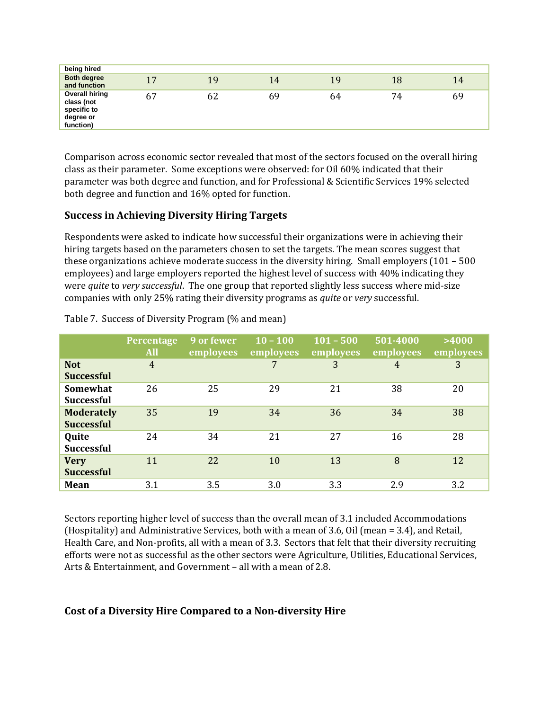| being hired                                                                  |    |    |    |    |    |    |
|------------------------------------------------------------------------------|----|----|----|----|----|----|
| <b>Both degree</b><br>and function                                           | 17 | 19 | 14 | 19 | 18 | 14 |
| <b>Overall hiring</b><br>class (not<br>specific to<br>degree or<br>function) | 67 | 62 | 69 | 64 | 74 | 69 |

Comparison across economic sector revealed that most of the sectors focused on the overall hiring class as their parameter. Some exceptions were observed: for Oil 60% indicated that their parameter was both degree and function, and for Professional & Scientific Services 19% selected both degree and function and 16% opted for function.

## **Success in Achieving Diversity Hiring Targets**

Respondents were asked to indicate how successful their organizations were in achieving their hiring targets based on the parameters chosen to set the targets. The mean scores suggest that these organizations achieve moderate success in the diversity hiring. Small employers (101 – 500 employees) and large employers reported the highest level of success with 40% indicating they were *quite* to *very successful*. The one group that reported slightly less success where mid-size companies with only 25% rating their diversity programs as *quite* or *very* successful.

|                                        | Percentage<br><b>All</b> | 9 or fewer<br>employees | $10 - 100$<br>employees | $101 - 500$<br>employees | 501-4000<br>employees | >4000<br>employees |
|----------------------------------------|--------------------------|-------------------------|-------------------------|--------------------------|-----------------------|--------------------|
| <b>Not</b><br><b>Successful</b>        | $\overline{4}$           |                         | 7                       | 3                        | $\overline{4}$        | 3                  |
| Somewhat<br><b>Successful</b>          | 26                       | 25                      | 29                      | 21                       | 38                    | 20                 |
| <b>Moderately</b><br><b>Successful</b> | 35                       | 19                      | 34                      | 36                       | 34                    | 38                 |
| Quite<br><b>Successful</b>             | 24                       | 34                      | 21                      | 27                       | 16                    | 28                 |
| <b>Very</b><br><b>Successful</b>       | 11                       | 22                      | 10                      | 13                       | 8                     | 12                 |
| Mean                                   | 3.1                      | 3.5                     | 3.0                     | 3.3                      | 2.9                   | 3.2                |

Table 7. Success of Diversity Program (% and mean)

Sectors reporting higher level of success than the overall mean of 3.1 included Accommodations (Hospitality) and Administrative Services, both with a mean of 3.6, Oil (mean = 3.4), and Retail, Health Care, and Non-profits, all with a mean of 3.3. Sectors that felt that their diversity recruiting efforts were not as successful as the other sectors were Agriculture, Utilities, Educational Services, Arts & Entertainment, and Government – all with a mean of 2.8.

## **Cost of a Diversity Hire Compared to a Non-diversity Hire**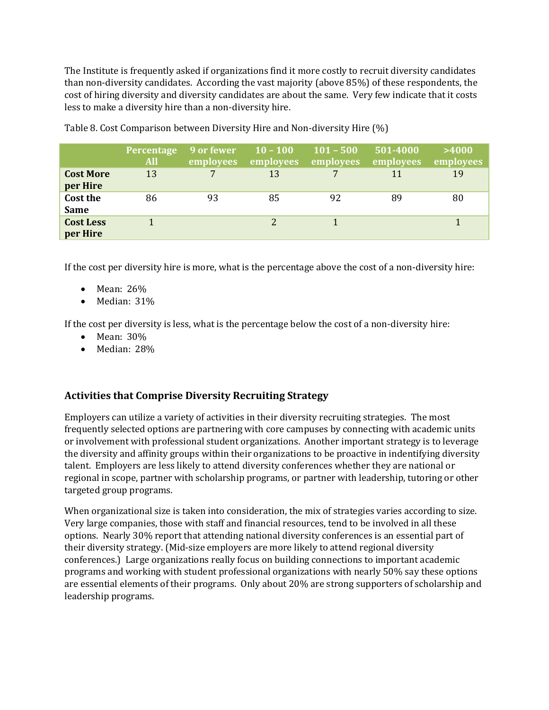The Institute is frequently asked if organizations find it more costly to recruit diversity candidates than non-diversity candidates. According the vast majority (above 85%) of these respondents, the cost of hiring diversity and diversity candidates are about the same. Very few indicate that it costs less to make a diversity hire than a non-diversity hire.

|                              | Percentage<br><b>All</b> | 9 or fewer<br>employees | $10 - 100$<br>employees | $101 - 500$<br>employees | 501-4000<br>employees | >4000<br>employees |
|------------------------------|--------------------------|-------------------------|-------------------------|--------------------------|-----------------------|--------------------|
| <b>Cost More</b><br>per Hire | 13                       |                         | 13                      |                          | 11                    | 19                 |
| Cost the<br><b>Same</b>      | 86                       | 93                      | 85                      | 92                       | 89                    | 80                 |
| <b>Cost Less</b><br>per Hire |                          |                         |                         |                          |                       |                    |

Table 8. Cost Comparison between Diversity Hire and Non-diversity Hire (%)

If the cost per diversity hire is more, what is the percentage above the cost of a non-diversity hire:

- Mean: 26%
- Median: 31%

If the cost per diversity is less, what is the percentage below the cost of a non-diversity hire:

- Mean: 30%
- Median: 28%

## **Activities that Comprise Diversity Recruiting Strategy**

Employers can utilize a variety of activities in their diversity recruiting strategies. The most frequently selected options are partnering with core campuses by connecting with academic units or involvement with professional student organizations. Another important strategy is to leverage the diversity and affinity groups within their organizations to be proactive in indentifying diversity talent. Employers are less likely to attend diversity conferences whether they are national or regional in scope, partner with scholarship programs, or partner with leadership, tutoring or other targeted group programs.

When organizational size is taken into consideration, the mix of strategies varies according to size. Very large companies, those with staff and financial resources, tend to be involved in all these options. Nearly 30% report that attending national diversity conferences is an essential part of their diversity strategy. (Mid-size employers are more likely to attend regional diversity conferences.) Large organizations really focus on building connections to important academic programs and working with student professional organizations with nearly 50% say these options are essential elements of their programs. Only about 20% are strong supporters of scholarship and leadership programs.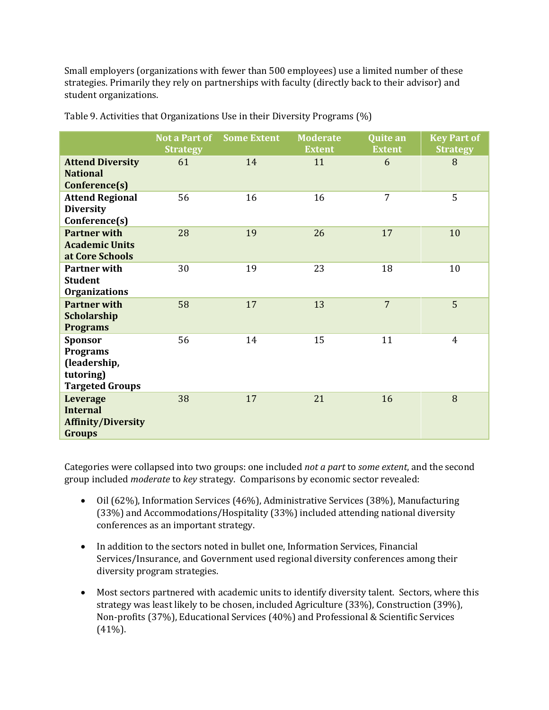Small employers (organizations with fewer than 500 employees) use a limited number of these strategies. Primarily they rely on partnerships with faculty (directly back to their advisor) and student organizations.

|                                                                                          | <b>Strategy</b> | <b>Not a Part of Some Extent</b> | <b>Moderate</b><br><b>Extent</b> | Quite an<br><b>Extent</b> | <b>Key Part of</b><br><b>Strategy</b> |
|------------------------------------------------------------------------------------------|-----------------|----------------------------------|----------------------------------|---------------------------|---------------------------------------|
| <b>Attend Diversity</b><br><b>National</b><br>Conference(s)                              | 61              | 14                               | 11                               | 6                         | 8                                     |
| <b>Attend Regional</b><br><b>Diversity</b><br>Conference(s)                              | 56              | 16                               | 16                               | 7                         | 5                                     |
| <b>Partner with</b><br><b>Academic Units</b><br>at Core Schools                          | 28              | 19                               | 26                               | 17                        | 10                                    |
| <b>Partner with</b><br><b>Student</b><br><b>Organizations</b>                            | 30              | 19                               | 23                               | 18                        | 10                                    |
| <b>Partner with</b><br>Scholarship<br><b>Programs</b>                                    | 58              | 17                               | 13                               | $\overline{7}$            | 5                                     |
| <b>Sponsor</b><br><b>Programs</b><br>(leadership,<br>tutoring)<br><b>Targeted Groups</b> | 56              | 14                               | 15                               | 11                        | 4                                     |
| Leverage<br><b>Internal</b><br><b>Affinity/Diversity</b><br><b>Groups</b>                | 38              | 17                               | 21                               | 16                        | 8                                     |

Table 9. Activities that Organizations Use in their Diversity Programs (%)

Categories were collapsed into two groups: one included *not a part* to *some extent*, and the second group included *moderate* to *key* strategy. Comparisons by economic sector revealed:

- Oil (62%), Information Services (46%), Administrative Services (38%), Manufacturing (33%) and Accommodations/Hospitality (33%) included attending national diversity conferences as an important strategy.
- In addition to the sectors noted in bullet one, Information Services, Financial Services/Insurance, and Government used regional diversity conferences among their diversity program strategies.
- Most sectors partnered with academic units to identify diversity talent. Sectors, where this strategy was least likely to be chosen, included Agriculture (33%), Construction (39%), Non-profits (37%), Educational Services (40%) and Professional & Scientific Services (41%).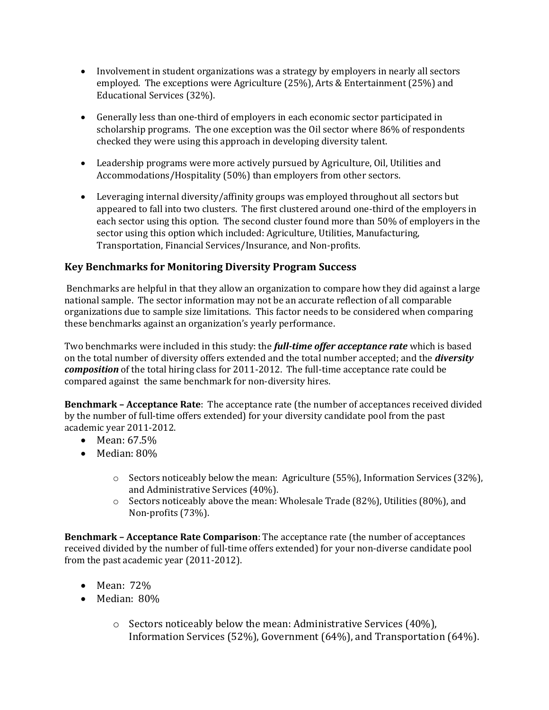- Involvement in student organizations was a strategy by employers in nearly all sectors employed. The exceptions were Agriculture (25%), Arts & Entertainment (25%) and Educational Services (32%).
- Generally less than one-third of employers in each economic sector participated in scholarship programs. The one exception was the Oil sector where 86% of respondents checked they were using this approach in developing diversity talent.
- Leadership programs were more actively pursued by Agriculture, Oil, Utilities and Accommodations/Hospitality (50%) than employers from other sectors.
- Leveraging internal diversity/affinity groups was employed throughout all sectors but appeared to fall into two clusters. The first clustered around one-third of the employers in each sector using this option. The second cluster found more than 50% of employers in the sector using this option which included: Agriculture, Utilities, Manufacturing, Transportation, Financial Services/Insurance, and Non-profits.

# **Key Benchmarks for Monitoring Diversity Program Success**

Benchmarks are helpful in that they allow an organization to compare how they did against a large national sample. The sector information may not be an accurate reflection of all comparable organizations due to sample size limitations. This factor needs to be considered when comparing these benchmarks against an organization's yearly performance.

Two benchmarks were included in this study: the *full-time offer acceptance rate* which is based on the total number of diversity offers extended and the total number accepted; and the *diversity composition* of the total hiring class for 2011-2012. The full-time acceptance rate could be compared against the same benchmark for non-diversity hires.

**Benchmark – Acceptance Rate**: The acceptance rate (the number of acceptances received divided by the number of full-time offers extended) for your diversity candidate pool from the past academic year 2011-2012.

- Mean: 67.5%
- Median: 80%
	- o Sectors noticeably below the mean: Agriculture (55%), Information Services (32%), and Administrative Services (40%).
	- o Sectors noticeably above the mean: Wholesale Trade (82%), Utilities (80%), and Non-profits (73%).

**Benchmark – Acceptance Rate Comparison**: The acceptance rate (the number of acceptances received divided by the number of full-time offers extended) for your non-diverse candidate pool from the past academic year (2011-2012).

- Mean: 72%
- Median: 80%
	- o Sectors noticeably below the mean: Administrative Services (40%), Information Services (52%), Government (64%), and Transportation (64%).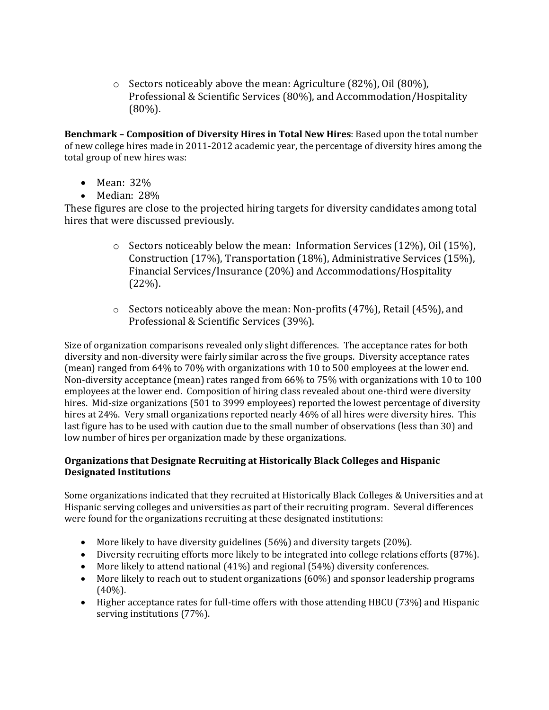o Sectors noticeably above the mean: Agriculture (82%), Oil (80%), Professional & Scientific Services (80%), and Accommodation/Hospitality (80%).

**Benchmark – Composition of Diversity Hires in Total New Hires**: Based upon the total number of new college hires made in 2011-2012 academic year, the percentage of diversity hires among the total group of new hires was:

- Mean: 32%
- Median: 28%

These figures are close to the projected hiring targets for diversity candidates among total hires that were discussed previously.

- o Sectors noticeably below the mean: Information Services (12%), Oil (15%), Construction (17%), Transportation (18%), Administrative Services (15%), Financial Services/Insurance (20%) and Accommodations/Hospitality (22%).
- o Sectors noticeably above the mean: Non-profits (47%), Retail (45%), and Professional & Scientific Services (39%).

Size of organization comparisons revealed only slight differences. The acceptance rates for both diversity and non-diversity were fairly similar across the five groups. Diversity acceptance rates (mean) ranged from 64% to 70% with organizations with 10 to 500 employees at the lower end. Non-diversity acceptance (mean) rates ranged from 66% to 75% with organizations with 10 to 100 employees at the lower end. Composition of hiring class revealed about one-third were diversity hires. Mid-size organizations (501 to 3999 employees) reported the lowest percentage of diversity hires at 24%. Very small organizations reported nearly 46% of all hires were diversity hires. This last figure has to be used with caution due to the small number of observations (less than 30) and low number of hires per organization made by these organizations.

#### **Organizations that Designate Recruiting at Historically Black Colleges and Hispanic Designated Institutions**

Some organizations indicated that they recruited at Historically Black Colleges & Universities and at Hispanic serving colleges and universities as part of their recruiting program. Several differences were found for the organizations recruiting at these designated institutions:

- More likely to have diversity guidelines (56%) and diversity targets (20%).
- Diversity recruiting efforts more likely to be integrated into college relations efforts (87%).
- More likely to attend national (41%) and regional (54%) diversity conferences.
- More likely to reach out to student organizations (60%) and sponsor leadership programs (40%).
- Higher acceptance rates for full-time offers with those attending HBCU (73%) and Hispanic serving institutions (77%).